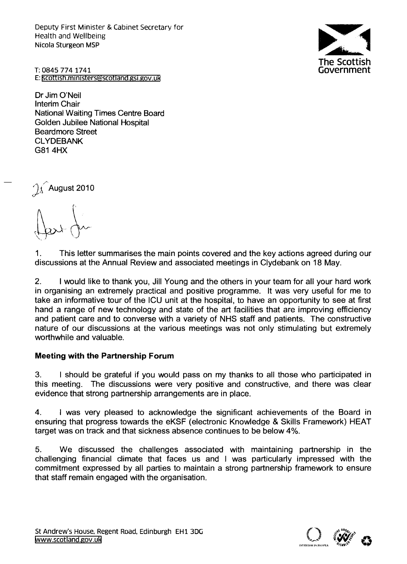Deputy First Minister & Cabinet Secretary for Health and Wellbeing Nicola Sturgeon MSP



T:0845 7741741 E: scottish.ministers@scotland.gsi.gov.uk

Dr Jim O'Neil Interim Chair National Waiting Times Centre Board Golden Jubilee National Hospital Beardmore Street **CLYDEBANK** G814HX

 $\hat{\mathcal{A}}$  August 2010

1. This letter summarises the main points covered and the key actions agreed during our discussions at the Annual Review and associated meetings in Clydebank on 18 May.

2. I would like to thank you, Jill Young and the others in your team for all your hard work in organising an extremely practical and positive programme. It was very useful for me to take an informative tour of the ICU unit at the hospital, to have an opportunity to see at first hand a range of new technology and state of the art facilities that are improving efficiency and patient care and to converse with a variety of NHS staff and patients. The constructive nature of our discussions at the various meetings was not only stimulating but extremely worthwhile and valuable.

#### Meeting with the Partnership Forum

3. I should be grateful if you would pass on my thanks to all those who participated in this meeting. The discussions were very positive and constructive, and there was clear evidence that strong partnership arrangements are in place.

4. I was very pleased to acknowledge the significant achievements of the Board in ensuring that progress towards the eKSF (electronic Knowledge & Skills Framework) HEAT target was on track and that sickness absence continues to be below 4%.

5. We discussed the challenges associated with maintaining partnership in the challenging financial climate that faces us and I was particularly impressed with the commitment expressed by all parties to maintain a strong partnership framework to ensure that staff remain engaged with the organisation.

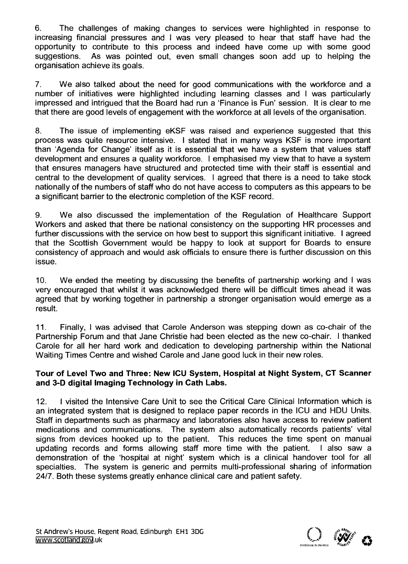6. The challenges of making changes to services were highlighted in response to increasing financial pressures and I was very pleased to hear that staff have had the opportunity to contribute to this process and indeed have come up with some good suggestions. As was pointed out, even small changes soon add up to helping the organisation achieve its goals.

7. We also talked about the need for good communications with the workforce and a number of initiatives were highlighted including learning classes and I was particularly impressed and intrigued that the Board had run a 'Finance is Fun' session. It is clear to me that there are good levels of engagement with the workforce at all levels of the organisation.

8. The issue of implementing eKSF was raised and experience suggested that this process was quite resource intensive. I stated that in many ways KSF is more important than 'Agenda for Change' itself as it is essential that we have a system that values staff development and ensures a quality workforce. I emphasised my view that to have a system that ensures managers have structured and protected time with their staff is essential and central to the development of quality services. I agreed that there is a need to take stock nationally of the numbers of staff who do not have access to computers as this appears to be a significant barrier to the electronic completion of the KSF record.

9. We also discussed the implementation of the Regulation of Healthcare Support Workers and asked that there be national consistency on the supporting HR processes and further discussions with the service on how best to support this significant initiative. I agreed that the Scottish Government would be happy to look at support for Boards to ensure consistency of approach and would ask officials to ensure there is further discussion on this issue.

10. We ended the meeting by discussing the benefits of partnership working and I was very encouraged that whilst it was acknowledged there will be difficult times ahead it was agreed that by working together in partnership a stronger organisation would emerge as a result.

11. Finally, I was advised that Carole Anderson was stepping down as co-chair of the Partnership Forum and that Jane Christie had been elected as the new co-chair. I thanked Carole for all her hard work and dedication to developing partnership within the National Waiting Times Centre and wished Carole and Jane good luck in their new roles.

#### Tour of level Two and Three: New ICU System, Hospital at Night System, CT Scanner and 3-D digital Imaging Technology in Cath labs.

12. I visited the Intensive Care Unit to see the Critical Care Clinical Information which is an integrated system that is designed to replace paper records in the ICU and HDU Units. Staff in departments such as pharmacy and laboratories also have access to review patient medications and communications. The system also automatically records patients' vital signs from devices hooked up to the patient. This reduces the time spent on manual updating records and forms allowing staff more time with the patient. I also saw a demonstration of the 'hospital at night' system which is a clinical handover tool for all specialties. The system is generic and permits multi-professional sharing of information 24/7. Both these systems greatly enhance clinical care and patient safety.

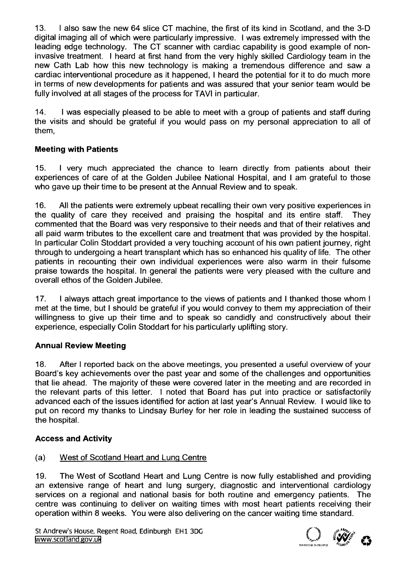13. I also saw the new 64 slice CT machine, the first of its kind in Scotland, and the 3-D digital imaging all of which were particularly impressive. I was extremely impressed with the leading edge technology. The CT scanner with cardiac capability is good example of noninvasive treatment. I heard at first hand from the very highly skilled Cardiology team in the new Cath Lab how this new technology is making a tremendous difference and saw a cardiac interventional procedure as it happened, I heard the potential for it to do much more in terms of new developments for patients and was assured that your senior team would be fully involved at all stages of the process for TAVI in particular.

14. I was especially pleased to be able to meet with a group of patients and staff during the visits and should be grateful if you would pass on my personal appreciation to all of them,

# **Meeting with Patients**

15. I very much appreciated the chance to learn directly from patients about their experiences of care of at the Golden Jubilee National Hospital, and I am grateful to those who gave up their time to be present at the Annual Review and to speak.

16. All the patients were extremely upbeat recalling their own very positive experiences in the quality of care they received and praising the hospital and its entire staff. They commented that the Board was very responsive to their needs and that of their relatives and all paid warm tributes to the excellent care and treatment that was provided by the hospital. In particular Colin Stoddart provided a very touching account of his own patient journey, right through to undergoing a heart transplant which has so enhanced his quality of life. The other patients in recounting their own individual experiences were also warm in their fulsome praise towards the hospital. In general the patients were very pleased with the culture and overall ethos of the Golden Jubilee.

17. I always attach great importance to the views of patients and I thanked those whom I met at the time, but I should be grateful if you would convey to them my appreciation of their willingness to give up their time and to speak so candidly and constructively about their experience, especially Colin Stoddart for his particularly uplifting story.

## **Annual Review Meeting**

18. After I reported back on the above meetings, you presented a useful overview of your Board's key achievements over the past year and some of the challenges and opportunities that lie ahead. The majority of these were covered later in the meeting and are recorded in the relevant parts of this letter. I noted that Board has put into practice or satisfactorily advanced each of the issues identified for action at last year's Annual Review. I would like to put on record my thanks to Lindsay Burley for her role in leading the sustained success of the hospital.

## **Access and Activity**

## (a) West of Scotland Heart and Lunq Centre

19. The West of Scotland Heart and Lung Centre is now fully established and providing an extensive range of heart and lung surgery, diagnostic and interventional cardiology services on a regional and national basis for both routine and emergency patients. The centre was continuing to deliver on waiting times with most heart patients receiving their operation within 8 weeks. You were also delivering on the cancer waiting time standard.

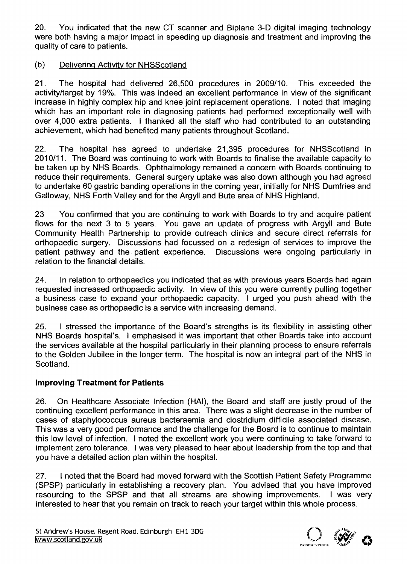20. You indicated that the new CT scanner and Biplane 3-D digital imaging technology were both having a major impact in speeding up diagnosis and treatment and improving the quality of care to patients.

## (b) Delivering Activity for NHSScotland

21. The hospital had delivered 26,500 procedures in 2009/10. This exceeded the activity/target by 19%. This was indeed an excellent performance in view of the significant increase in highly complex hip and knee joint replacement operations. I noted that imaging which has an important role in diagnosing patients had performed exceptionally well with over 4,000 extra patients. I thanked all the staff who had contributed to an outstanding achievement, which had benefited many patients throughout Scotland.

22. The hospital has agreed to undertake 21,395 procedures for NHSScotland in 2010/11. The Board was continuing to work with Boards to finalise the available capacity to be taken up by NHS Boards. Ophthalmology remained a concern with Boards continuing to reduce their requirements. General surgery uptake was also down although you had agreed to undertake 60 gastric banding operations in the coming year, initially for NHS Dumfries and Galloway, NHS Forth Valley and for the Argyll and Bute area of NHS Highland.

23 You confirmed that you are continuing to work with Boards to try and acquire patient flows for the next 3 to 5 years. You gave an update of progress with Argyll and Bute Community Health Partnership to provide outreach clinics and secure direct referrals for orthopaedic surgery. Discussions had focussed on a redesign of services to improve the patient pathway and the patient experience. Discussions were ongoing particularly in relation to the financial details.

24. In relation to orthopaedics you indicated that as with previous years Boards had again requested increased orthopaedic activity. In view of this you were currently pulling together a business case to expand your orthopaedic capacity. I urged you push ahead with the business case as orthopaedic is a service with increasing demand.

25. I stressed the importance of the Board's strengths is its flexibility in assisting other NHS Boards hospital's. I emphasised it was important that other Boards take into account the services available at the hospital particularly in their planning process to ensure referrals to the Golden Jubilee in the longer term. The hospital is now an integral part of the NHS in Scotland.

## **Improving Treatment for Patients**

26. On Healthcare Associate Infection (HAl), the Board and staff are justly proud of the continuing excellent performance in this area. There was a slight decrease in the number of cases of staphylococcus aureus bacteraemia and clostridium difficile associated disease. This was a very good performance and the challenge for the Board is to continue to maintain this low level of infection. I noted the excellent work you were continuing to take forward to implement zero tolerance. I was very pleased to hear about leadership from the top and that you have a detailed action plan within the hospital.

27. I noted that the Board had moved forward with the Scottish Patient Safety Programme (SPSP) particularly in establishing a recovery plan. You advised that you have improved resourcing to the SPSP and that all streams are showing improvements. I was very interested to hear that you remain on track to reach your target within this whole process.

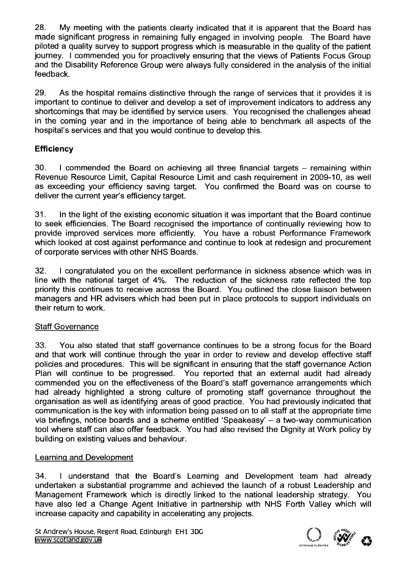28. My meeting with the patients clearly indicated that it is apparent that the Board has made significant progress in remaining fully engaged in involving people. The Board have piloted a quality survey to support progress which is measurable in the quality of the patient journey. I commended you for proactively ensuring that the views of Patients Focus Group and the Disability Reference Group were always fully considered in the analysis of the initial feedback.

29. As the hospital remains distinctive through the range of services that it provides it is important to continue to deliver and develop a set of improvement indicators to address any shortcomings that may be identified by service users. You recognised the challenges ahead in the coming year and in the importance of being able to benchmark all aspects of the hospital's services and that you would continue to develop this.

# **Efficiency**

30. I commended the Board on achieving all three financial targets - remaining within Revenue Resource Limit, Capital Resource Limit and cash requirement in 2009-10, as well as exceeding your efficiency saving target. You confirmed the Board was on course to deliver the current year's efficiency target.

31. In the light of the existing economic situation it was important that the Board continue to seek efficiencies. The Board recognised the importance of continually reviewing how to provide improved services more efficiently. You have a robust Performance Framework which looked at cost against performance and continue to look at redesign and procurement of corporate services with other NHS Boards.

32. I congratulated you on the excellent performance in sickness absence which was in line with the national target of 4%. The reduction of the sickness rate reflected the top priority this continues to receive across the Board. You outlined the close liaison between managers and HR advisers which had been put in place protocols to support individuals on their return to work.

## Staff Governance

33. You also stated that staff governance continues to be a strong focus for the Board and that work will continue through the year in order to review and develop effective staff policies and procedures. This will be significant in ensuring that the staff governance Action Plan will continue to be progressed. You reported that an external audit had already commended you on the effectiveness of the Board's staff governance arrangements which had already highlighted a strong culture of promoting staff governance throughout the organisation as well as identifying areas of good practice. You had previously indicated that communication is the key with information being passed on to all staff at the appropriate time via briefings, notice boards and a scheme entitled 'Speakeasy' - a two-way communication tool where staff can also offer feedback. You had also revised the Dignity at Work policy by building on existing values and behaviour.

## Learninq and Development

34. I understand that the Board's Learning and Development team had already undertaken a substantial programme and achieved the launch of a robust Leadership and Management Framework which is directly linked to the national leadership strategy. You have also led a Change Agent Initiative in partnership with NHS Forth Valley which will increase capacity and capability in accelerating any projects.

St Andrew's House, Regent Road, Edinburgh EHl 3DG [www.scotland.gov.uk](http://www.scotland.gov.uk)

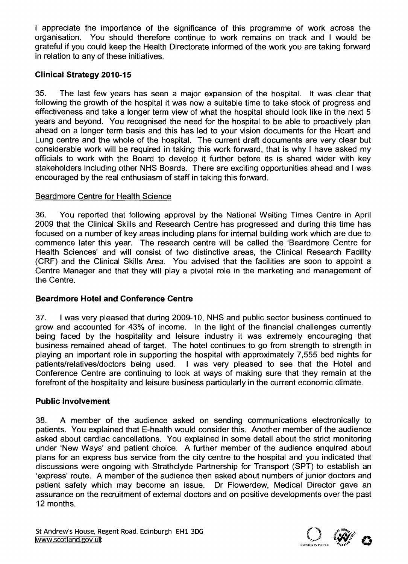I appreciate the importance of the significance of this programme of work across the organisation. You should therefore continue to work remains on track and I would be grateful if you could keep the Health Directorate informed of the work you are taking forward in relation to any of these initiatives.

### **Clinical Strategy 2010-15**

35. The last few years has seen a major expansion of the hospital. It was clear that following the growth of the hospital it was now a suitable time to take stock of progress and effectiveness and take a longer term view of what the hospital should look like in the next 5 years and beyond. You recognised the need for the hospital to be able to proactively plan ahead on a longer term basis and this has led to your vision documents for the Heart and Lung centre and the whole of the hospital. The current draft documents are very clear but considerable work will be required in taking this work forward, that is why I have asked my officials to work with the Board to develop it further before its is shared wider with key stakeholders including other NHS Boards. There are exciting opportunities ahead and I was encouraged by the real enthusiasm of staff in taking this forward.

#### Beardmore Centre for Health Science

36. You reported that following approval by the National Waiting Times Centre in April 2009 that the Clinical Skills and Research Centre has progressed and during this time has focused on a number of key areas including plans for internal building work which are due to commence later this year. The research centre will be called the 'Beardmore Centre for Health Sciences' and will consist of two distinctive areas, the Clinical Research Facility (CRF) and the Clinical Skills Area. You advised that the facilities are soon to appoint a Centre Manager and that they will play a pivotal role in the marketing and management of the Centre.

## **Beardmore Hotel and Conference Centre**

37. I was very pleased that during 2009-10, NHS and public sector business continued to grow and accounted for 43% of income. In the light of the financial challenges currently being faced by the hospitality and leisure industry it was extremely encouraging that business remained ahead of target. The hotel continues to go from strength to strength in playing an important role in supporting the hospital with approximately 7,555 bed nights for patients/relatives/doctors being used. I was very pleased to see that the Hotel and Conference Centre are continuing to look at ways of making sure that they remain at the forefront of the hospitality and leisure business particularly in the current economic climate.

#### **Public Involvement**

38. A member of the audience asked on sending communications electronically to patients. You explained that E-health would consider this. Another member of the audience asked about cardiac cancellations. You explained in some detail about the strict monitoring under 'New Ways' and patient choice. A further member of the audience enquired about plans for an express bus service from the city centre to the hospital and you indicated that discussions were ongoing with Strathclyde Partnership for Transport (SPT) to establish an 'express' route. A member of the audience then asked about numbers of junior doctors and patient safety which may become an issue. Dr Flowerdew, Medical Director gave an assurance on the recruitment of external doctors and on positive developments over the past 12 months.

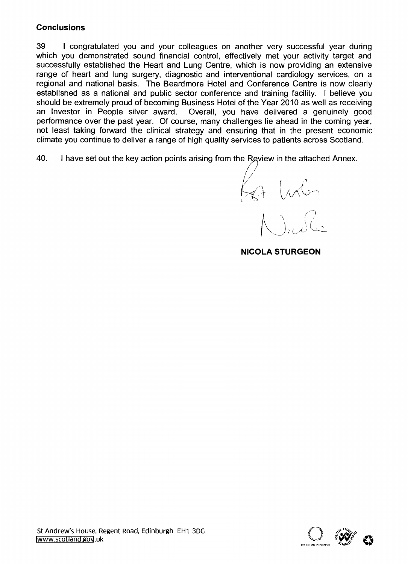### **Conclusions**

39 I congratulated you and your colleagues on another very successful year during which you demonstrated sound financial control, effectively met your activity target and successfully established the Heart and Lung Centre, which is now providing an extensive range of heart and lung surgery, diagnostic and interventional cardiology services, on a regional and national basis. The Beardmore Hotel and Conference Centre is now clearly established as a national and public sector conference and training facility. I believe you should be extremely proud of becoming Business Hotel of the Year 2010 as well as receiving an Investor in People silver award. Overall, you have delivered a genuinely good performance over the past year. Of course, many challenges lie ahead in the coming year, not least taking forward the clinical strategy and ensuring that in the present economic climate you continue to deliver a range of high quality services to patients across Scotland.

40. I have set out the key action points arising from the Review in the attached Annex.

 $\overline{\phantom{a}}$ . */ ( ,'I* (~1 1lA/(l~)

**NICOLA STURGEON**